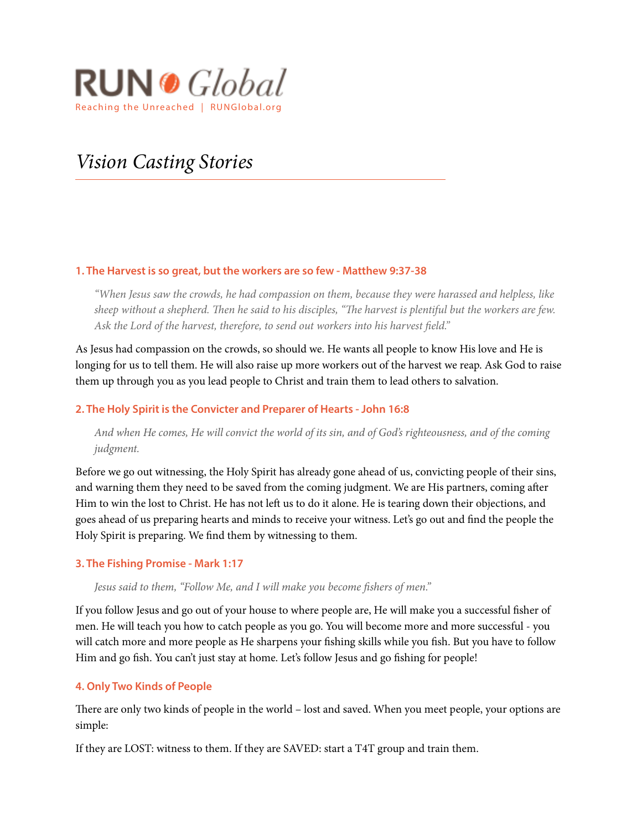

# *Vision Casting Stories*

## **1. The Harvest is so great, but the workers are so few - Matthew 9:37-38**

*"When Jesus saw the crowds, he had compassion on them, because they were harassed and helpless, like sheep without a shepherd.* T*en he said to his disciples, "*T*e harvest is plentiful but the workers are few.*  Ask the Lord of the harvest, therefore, to send out workers into his harvest field."

As Jesus had compassion on the crowds, so should we. He wants all people to know His love and He is longing for us to tell them. He will also raise up more workers out of the harvest we reap. Ask God to raise them up through you as you lead people to Christ and train them to lead others to salvation.

# **2. The Holy Spirit is the Convicter and Preparer of Hearts - John 16:8**

*And when He comes, He will convict the world of its sin, and of God's righteousness, and of the coming judgment.*

Before we go out witnessing, the Holy Spirit has already gone ahead of us, convicting people of their sins, and warning them they need to be saved from the coming judgment. We are His partners, coming afer Him to win the lost to Christ. He has not left us to do it alone. He is tearing down their objections, and goes ahead of us preparing hearts and minds to receive your witness. Let's go out and fnd the people the Holy Spirit is preparing. We fnd them by witnessing to them.

## **3. The Fishing Promise - Mark 1:17**

Jesus said to them, "Follow Me, and I will make you become fishers of men."

If you follow Jesus and go out of your house to where people are, He will make you a successful fsher of men. He will teach you how to catch people as you go. You will become more and more successful - you will catch more and more people as He sharpens your fshing skills while you fsh. But you have to follow Him and go fsh. You can't just stay at home. Let's follow Jesus and go fshing for people!

# **4. Only Two Kinds of People**

There are only two kinds of people in the world – lost and saved. When you meet people, your options are simple:

If they are LOST: witness to them. If they are SAVED: start a T4T group and train them.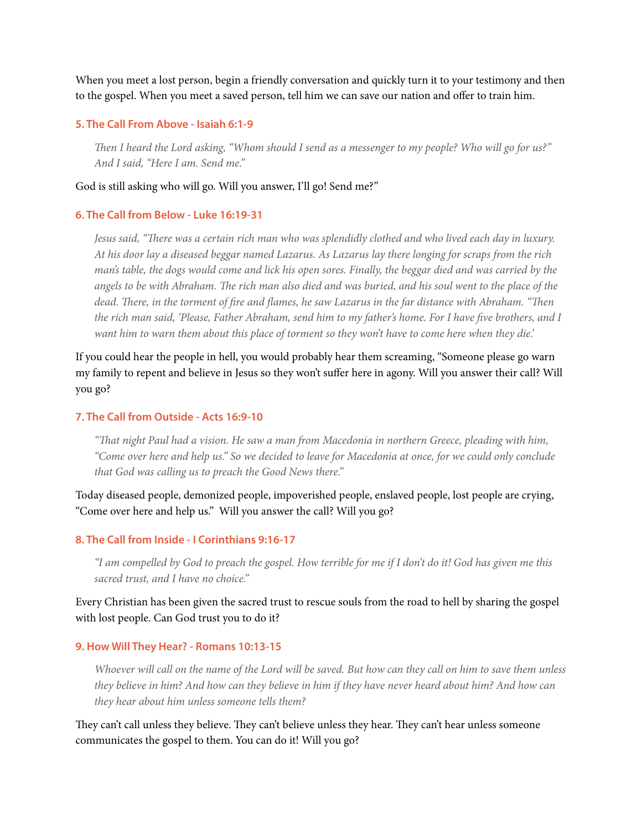When you meet a lost person, begin a friendly conversation and quickly turn it to your testimony and then to the gospel. When you meet a saved person, tell him we can save our nation and offer to train him.

## **5. The Call From Above - Isaiah 6:1-9**

T*en I heard the Lord asking, "Whom should I send as a messenger to my people? Who will go for us?" And I said, "Here I am. Send me."*

## God is still asking who will go. Will you answer, I'll go! Send me?"

## **6. The Call from Below - Luke 16:19-31**

*Jesus said, "*T*ere was a certain rich man who was splendidly clothed and who lived each day in luxury. At his door lay a diseased beggar named Lazarus. As Lazarus lay there longing for scraps from the rich man's table, the dogs would come and lick his open sores. Finally, the beggar died and was carried by the angels to be with Abraham.* T*e rich man also died and was buried, and his soul went to the place of the dead.* T*ere, in the torment of* f*re and* f*ames, he saw Lazarus in the far distance with Abraham. "*T*en the rich man said, 'Please, Father Abraham, send him to my father's home. For I have five brothers, and I want him to warn them about this place of torment so they won't have to come here when they die.'* 

If you could hear the people in hell, you would probably hear them screaming, "Someone please go warn my family to repent and believe in Jesus so they won't suffer here in agony. Will you answer their call? Will you go?

## **7. The Call from Outside - Acts 16:9-10**

*"*T*at night Paul had a vision. He saw a man from Macedonia in northern Greece, pleading with him, "Come over here and help us." So we decided to leave for Macedonia at once, for we could only conclude that God was calling us to preach the Good News there."* 

Today diseased people, demonized people, impoverished people, enslaved people, lost people are crying, "Come over here and help us." Will you answer the call? Will you go?

#### **8. The Call from Inside - I Corinthians 9:16-17**

*"I am compelled by God to preach the gospel. How terrible for me if I don't do it! God has given me this sacred trust, and I have no choice."*

Every Christian has been given the sacred trust to rescue souls from the road to hell by sharing the gospel with lost people. Can God trust you to do it?

#### **9. How Will They Hear? - Romans 10:13-15**

*Whoever will call on the name of the Lord will be saved. But how can they call on him to save them unless they believe in him? And how can they believe in him if they have never heard about him? And how can they hear about him unless someone tells them?* 

They can't call unless they believe. They can't believe unless they hear. They can't hear unless someone communicates the gospel to them. You can do it! Will you go?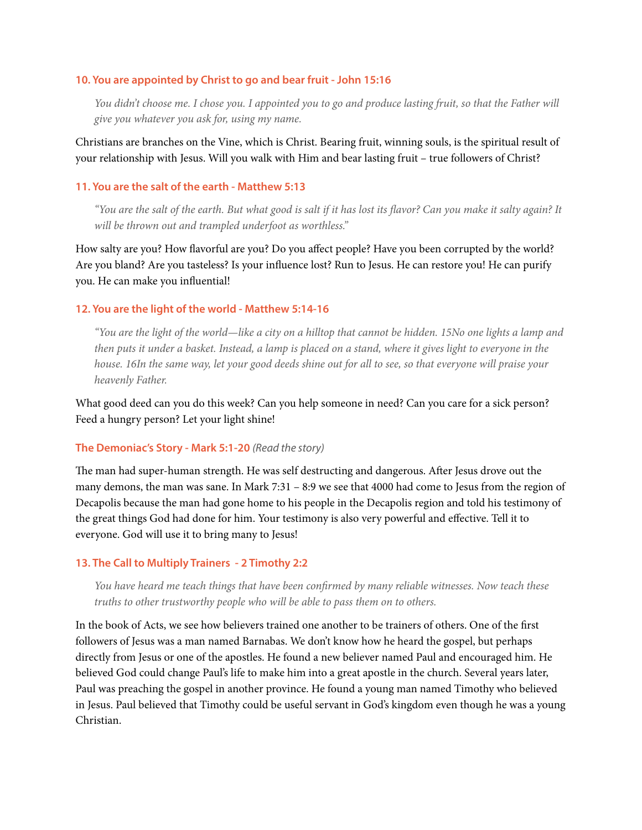## **10. You are appointed by Christ to go and bear fruit - John 15:16**

*You didn't choose me. I chose you. I appointed you to go and produce lasting fruit, so that the Father will give you whatever you ask for, using my name.*

Christians are branches on the Vine, which is Christ. Bearing fruit, winning souls, is the spiritual result of your relationship with Jesus. Will you walk with Him and bear lasting fruit – true followers of Christ?

## **11. You are the salt of the earth - Matthew 5:13**

*"You are the salt of the earth. But what good is salt if it has lost its* f*avor? Can you make it salty again? It will be thrown out and trampled underfoot as worthless."*

How salty are you? How favorful are you? Do you affect people? Have you been corrupted by the world? Are you bland? Are you tasteless? Is your infuence lost? Run to Jesus. He can restore you! He can purify you. He can make you infuential!

## **12. You are the light of the world - Matthew 5:14-16**

*"You are the light of the world—like a city on a hilltop that cannot be hidden. 15No one lights a lamp and then puts it under a basket. Instead, a lamp is placed on a stand, where it gives light to everyone in the house. 16In the same way, let your good deeds shine out for all to see, so that everyone will praise your heavenly Father.* 

What good deed can you do this week? Can you help someone in need? Can you care for a sick person? Feed a hungry person? Let your light shine!

#### **The Demoniac's Story - Mark 5:1-20** *(Read the story)*

The man had super-human strength. He was self destructing and dangerous. After Jesus drove out the many demons, the man was sane. In Mark 7:31 – 8:9 we see that 4000 had come to Jesus from the region of Decapolis because the man had gone home to his people in the Decapolis region and told his testimony of the great things God had done for him. Your testimony is also very powerful and effective. Tell it to everyone. God will use it to bring many to Jesus!

#### **13. The Call to Multiply Trainers - 2 Timothy 2:2**

*You have heard me teach things that have been con*f*rmed by many reliable witnesses. Now teach these truths to other trustworthy people who will be able to pass them on to others.*

In the book of Acts, we see how believers trained one another to be trainers of others. One of the frst followers of Jesus was a man named Barnabas. We don't know how he heard the gospel, but perhaps directly from Jesus or one of the apostles. He found a new believer named Paul and encouraged him. He believed God could change Paul's life to make him into a great apostle in the church. Several years later, Paul was preaching the gospel in another province. He found a young man named Timothy who believed in Jesus. Paul believed that Timothy could be useful servant in God's kingdom even though he was a young Christian.